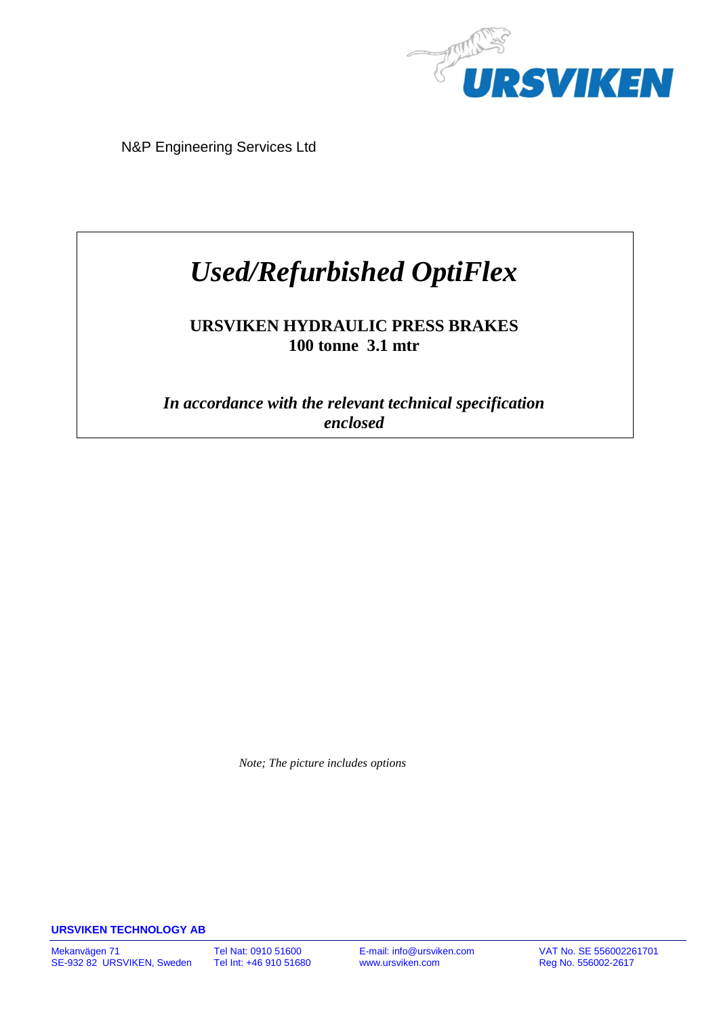

N&P Engineering Services Ltd

# *Used/Refurbished OptiFlex*

# **URSVIKEN HYDRAULIC PRESS BRAKES 100 tonne 3.1 mtr**

*In accordance with the relevant technical specification enclosed*

 *Note; The picture includes options*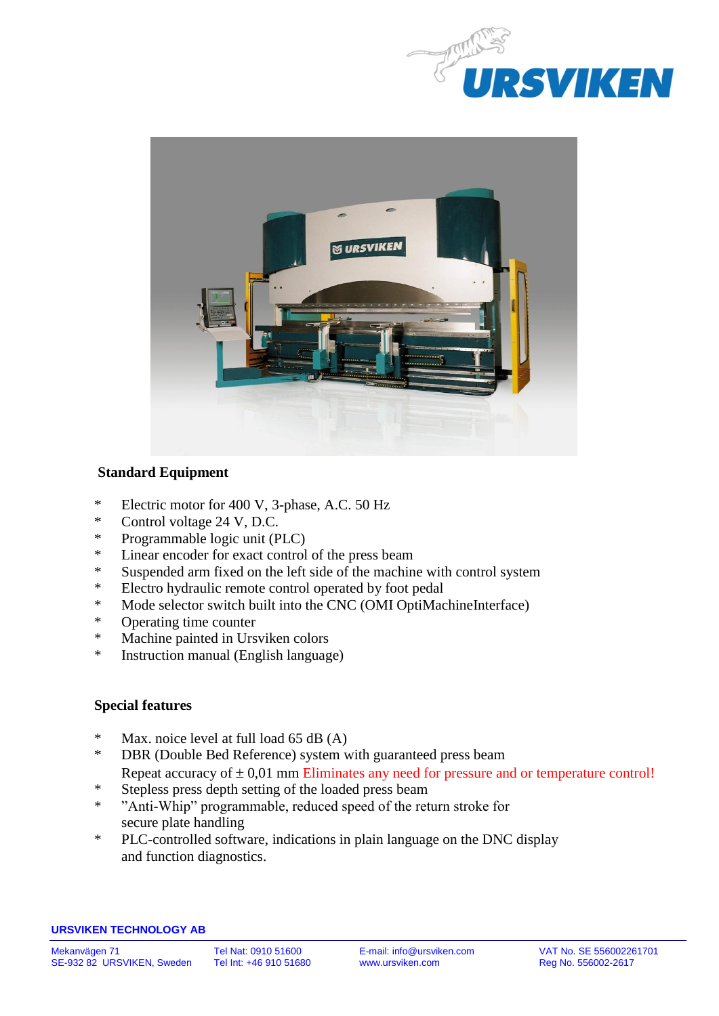



# **Standard Equipment**

- \* Electric motor for 400 V, 3-phase, A.C. 50 Hz
- \* Control voltage 24 V, D.C.
- Programmable logic unit (PLC)
- \* Linear encoder for exact control of the press beam<br>\* Suspended arm fixed on the left side of the machine
- Suspended arm fixed on the left side of the machine with control system
- \* Electro hydraulic remote control operated by foot pedal
- \* Mode selector switch built into the CNC (OMI OptiMachineInterface)
- \* Operating time counter
- \* Machine painted in Ursviken colors
- Instruction manual (English language)

### **Special features**

- \* Max. noice level at full load 65 dB (A)
- \* DBR (Double Bed Reference) system with guaranteed press beam Repeat accuracy of  $\pm 0.01$  mm Eliminates any need for pressure and or temperature control!
- \* Stepless press depth setting of the loaded press beam  $*$   $\frac{1}{2}$  and  $\frac{1}{2}$   $\frac{1}{2}$   $\frac{1}{2}$   $\frac{1}{2}$   $\frac{1}{2}$   $\frac{1}{2}$   $\frac{1}{2}$   $\frac{1}{2}$   $\frac{1}{2}$   $\frac{1}{2}$   $\frac{1}{2}$   $\frac{1}{2}$   $\frac{1}{2}$   $\frac{1}{2}$   $\frac{1}{2$
- "Anti-Whip" programmable, reduced speed of the return stroke for secure plate handling
- \* PLC-controlled software, indications in plain language on the DNC display and function diagnostics.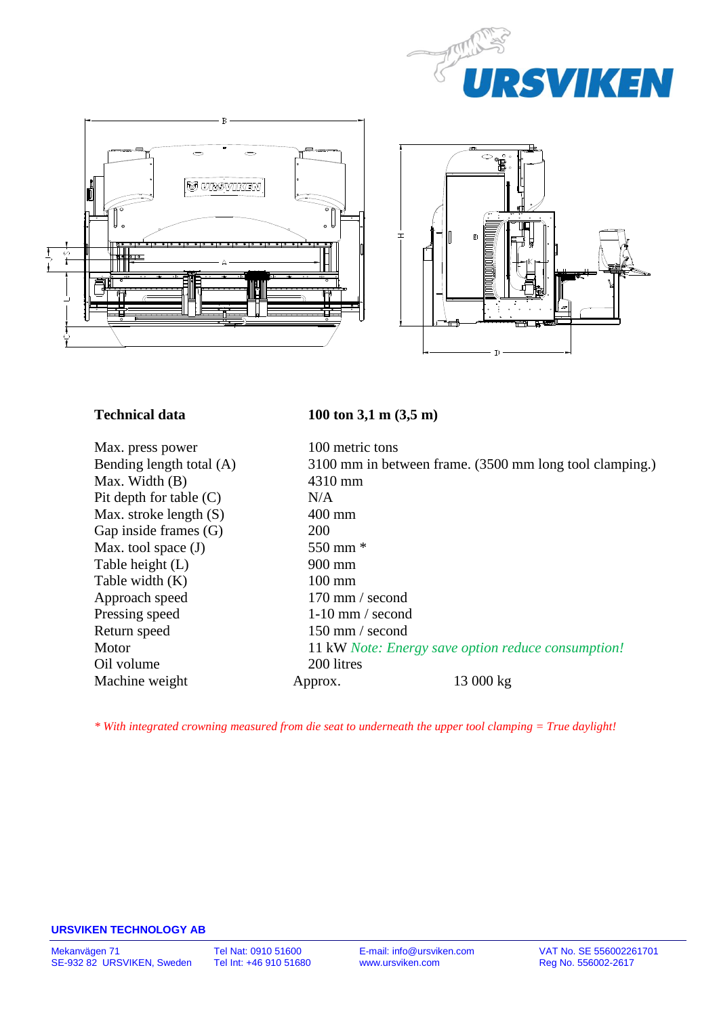





Max. press power 100 metric tons Max. Width (B) 4310 mm<br>Pit denth for table (C) N/A Pit depth for table  $(C)$ Max. stroke length (S) 400 mm Gap inside frames (G) 200 Max. tool space  $(J)$  550 mm  $*$ Table height (L) 900 mm Table width (K) 100 mm Approach speed 170 mm / second Pressing speed 1-10 mm / second Return speed 150 mm / second Oil volume 200 litres

# **Technical data 100 ton 3,1 m (3,5 m)**

Bending length total (A) 3100 mm in between frame. (3500 mm long tool clamping.) Motor 11 kW *Note: Energy save option reduce consumption!* Machine weight Approx. 13 000 kg

*\* With integrated crowning measured from die seat to underneath the upper tool clamping = True daylight!*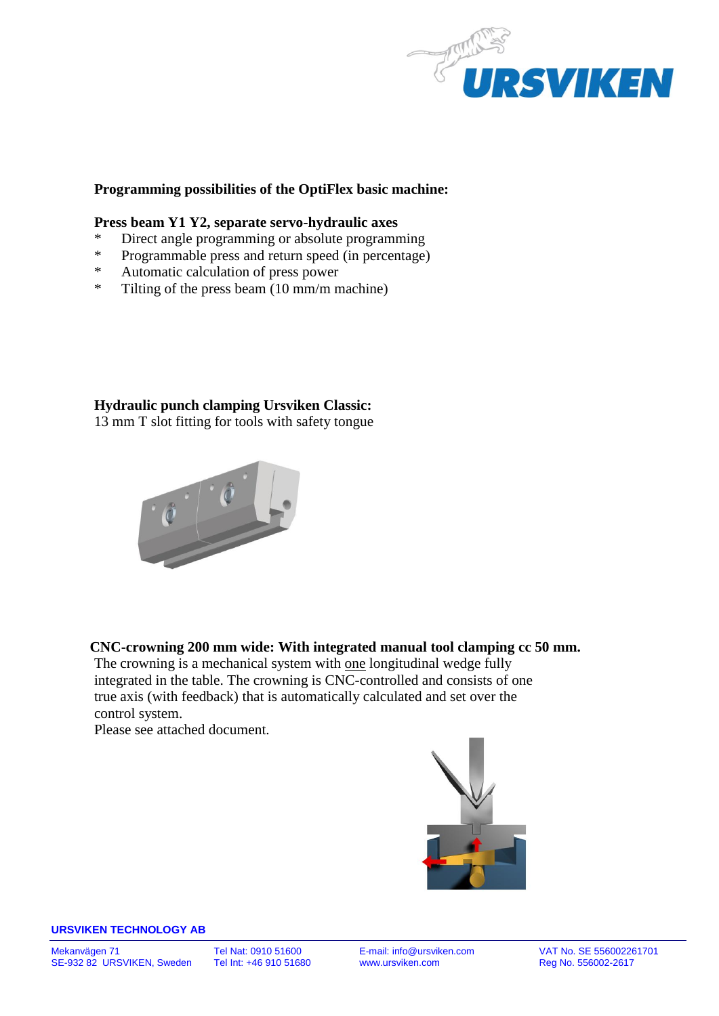

### **Programming possibilities of the OptiFlex basic machine:**

#### **Press beam Y1 Y2, separate servo-hydraulic axes**

- \* Direct angle programming or absolute programming
- \* Programmable press and return speed (in percentage)<br>\* Automatic calculation of press power
- Automatic calculation of press power
- \* Tilting of the press beam (10 mm/m machine)

# **Hydraulic punch clamping Ursviken Classic:**

13 mm T slot fitting for tools with safety tongue



# **CNC-crowning 200 mm wide: With integrated manual tool clamping cc 50 mm.**

The crowning is a mechanical system with one longitudinal wedge fully integrated in the table. The crowning is CNC-controlled and consists of one true axis (with feedback) that is automatically calculated and set over the control system.

Please see attached document.

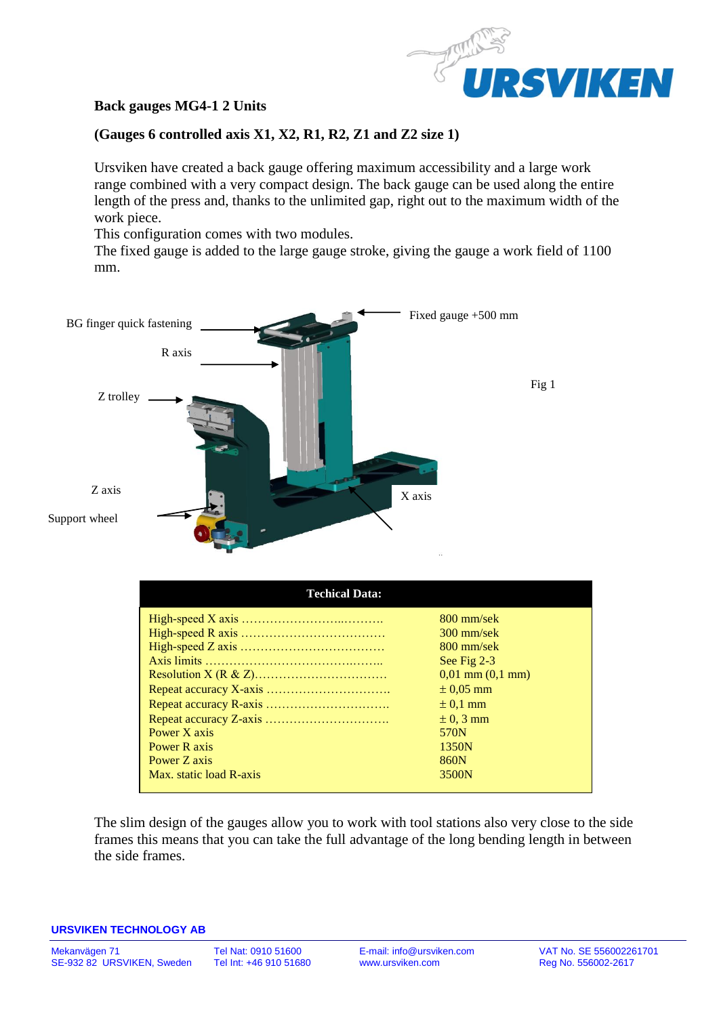

## **Back gauges MG4-1 2 Units**

### **(Gauges 6 controlled axis X1, X2, R1, R2, Z1 and Z2 size 1)**

Ursviken have created a back gauge offering maximum accessibility and a large work range combined with a very compact design. The back gauge can be used along the entire length of the press and, thanks to the unlimited gap, right out to the maximum width of the work piece.

This configuration comes with two modules.

The fixed gauge is added to the large gauge stroke, giving the gauge a work field of 1100 mm.



| <b>Techical Data:</b>   |                      |
|-------------------------|----------------------|
|                         | $800$ mm/sek         |
|                         | $300$ mm/sek         |
|                         | $800$ mm/sek         |
|                         | See Fig 2-3          |
|                         | $0.01$ mm $(0.1$ mm) |
|                         | $\pm 0.05$ mm        |
|                         | $\pm 0.1$ mm         |
|                         | $\pm$ 0, 3 mm        |
| Power X axis            | 570N                 |
| Power R axis            | 1350N                |
| Power Z axis            | 860N                 |
| Max. static load R-axis | 3500N                |

The slim design of the gauges allow you to work with tool stations also very close to the side frames this means that you can take the full advantage of the long bending length in between the side frames.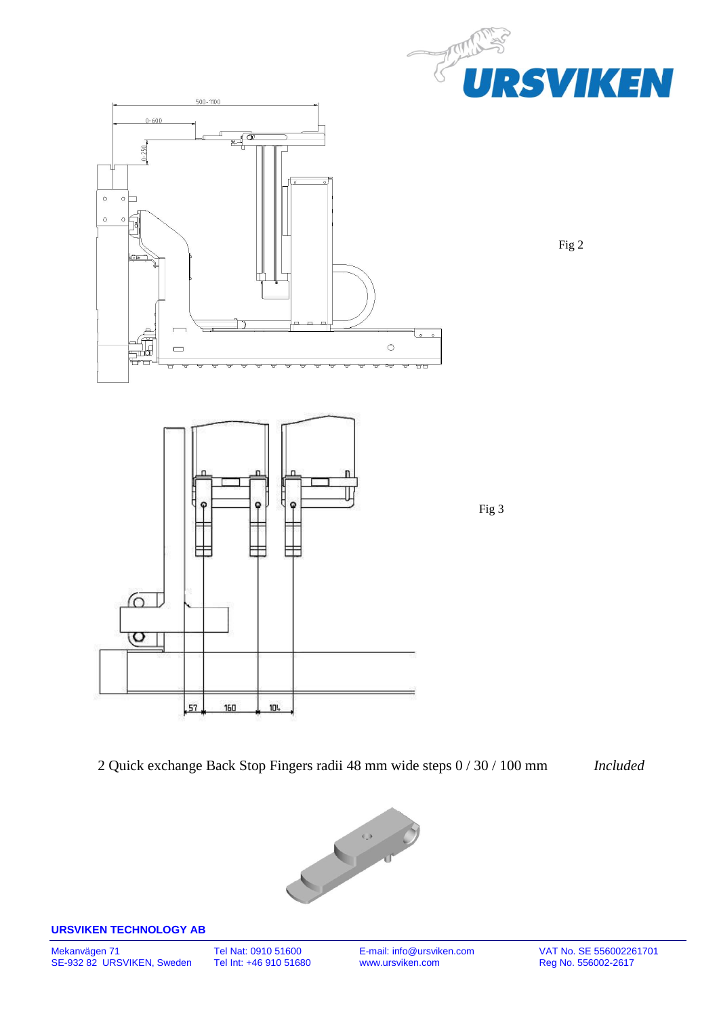

Fig 2

2 Quick exchange Back Stop Fingers radii 48 mm wide steps 0 / 30 / 100 mm *Included*